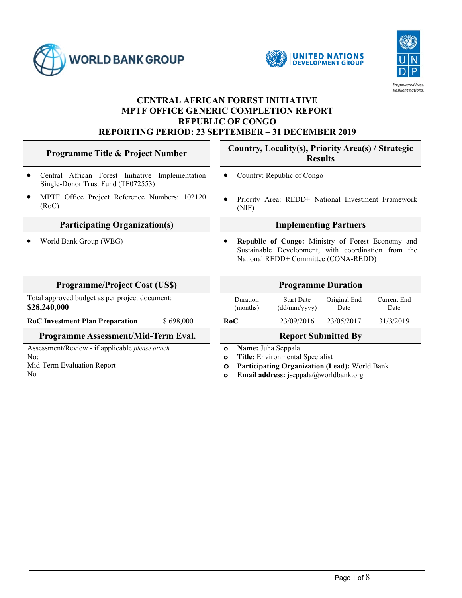





#### **CENTRAL AFRICAN FOREST INITIATIVE MPTF OFFICE GENERIC COMPLETION REPORT REPUBLIC OF CONGO REPORTING PERIOD: 23 SEPTEMBER – 31 DECEMBER 2019**

| <b>Programme Title &amp; Project Number</b>                                                            |           | Country, Locality(s), Priority Area(s) / Strategic<br><b>Results</b>                                                                                                                        |                                   |                      |                     |
|--------------------------------------------------------------------------------------------------------|-----------|---------------------------------------------------------------------------------------------------------------------------------------------------------------------------------------------|-----------------------------------|----------------------|---------------------|
| Central African Forest Initiative Implementation<br>Single-Donor Trust Fund (TF072553)                 |           | Country: Republic of Congo                                                                                                                                                                  |                                   |                      |                     |
| MPTF Office Project Reference Numbers: 102120<br>$\bullet$<br>(RoC)                                    |           | Priority Area: REDD+ National Investment Framework<br>(NIF)                                                                                                                                 |                                   |                      |                     |
| <b>Participating Organization(s)</b>                                                                   |           | <b>Implementing Partners</b>                                                                                                                                                                |                                   |                      |                     |
| World Bank Group (WBG)                                                                                 |           | Republic of Congo: Ministry of Forest Economy and<br>Sustainable Development, with coordination from the<br>National REDD+ Committee (CONA-REDD)                                            |                                   |                      |                     |
| <b>Programme/Project Cost (US\$)</b>                                                                   |           | <b>Programme Duration</b>                                                                                                                                                                   |                                   |                      |                     |
| Total approved budget as per project document:<br>\$28,240,000                                         |           | Duration<br>(months)                                                                                                                                                                        | <b>Start Date</b><br>(dd/mm/yyyy) | Original End<br>Date | Current End<br>Date |
| <b>RoC Investment Plan Preparation</b>                                                                 | \$698,000 | RoC                                                                                                                                                                                         | 23/09/2016                        | 23/05/2017           | 31/3/2019           |
| Programme Assessment/Mid-Term Eval.                                                                    |           | <b>Report Submitted By</b>                                                                                                                                                                  |                                   |                      |                     |
| Assessment/Review - if applicable please attach<br>No:<br>Mid-Term Evaluation Report<br>N <sub>0</sub> |           | Name: Juha Seppala<br>$\circ$<br>Title: Environmental Specialist<br>$\circ$<br>Participating Organization (Lead): World Bank<br>$\circ$<br>Email address: jseppala@worldbank.org<br>$\circ$ |                                   |                      |                     |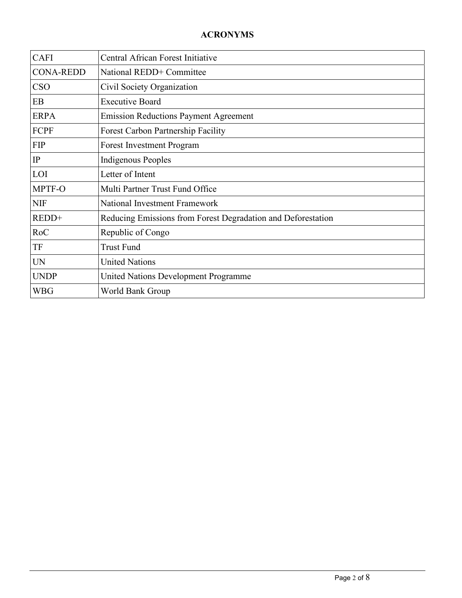| <b>CAFI</b>      | Central African Forest Initiative                            |
|------------------|--------------------------------------------------------------|
| <b>CONA-REDD</b> | National REDD+ Committee                                     |
| <b>CSO</b>       | Civil Society Organization                                   |
| EB               | <b>Executive Board</b>                                       |
| <b>ERPA</b>      | <b>Emission Reductions Payment Agreement</b>                 |
| FCPF             | <b>Forest Carbon Partnership Facility</b>                    |
| <b>FIP</b>       | <b>Forest Investment Program</b>                             |
| IP               | <b>Indigenous Peoples</b>                                    |
| LOI              | Letter of Intent                                             |
| MPTF-O           | Multi Partner Trust Fund Office                              |
| <b>NIF</b>       | <b>National Investment Framework</b>                         |
| REDD+            | Reducing Emissions from Forest Degradation and Deforestation |
| RoC              | Republic of Congo                                            |
| TF               | <b>Trust Fund</b>                                            |
| <b>UN</b>        | <b>United Nations</b>                                        |
| <b>UNDP</b>      | United Nations Development Programme                         |
| <b>WBG</b>       | World Bank Group                                             |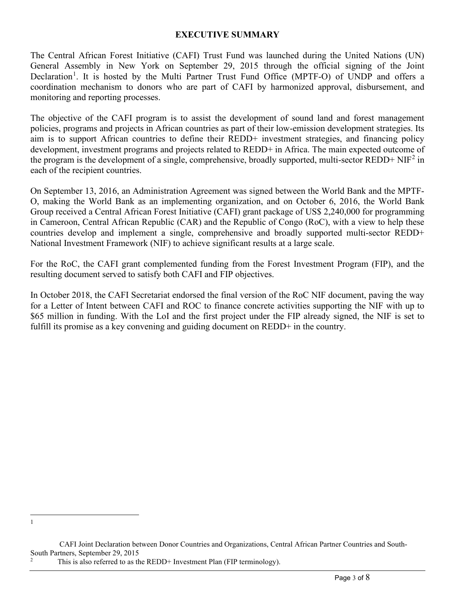#### **EXECUTIVE SUMMARY**

The Central African Forest Initiative (CAFI) Trust Fund was launched during the United Nations (UN) General Assembly in New York on September 29, 2015 through the official signing of the Joint Declaration<sup>[1](#page-2-0)</sup>. It is hosted by the Multi Partner Trust Fund Office (MPTF-O) of UNDP and offers a coordination mechanism to donors who are part of CAFI by harmonized approval, disbursement, and monitoring and reporting processes.

The objective of the CAFI program is to assist the development of sound land and forest management policies, programs and projects in African countries as part of their low-emission development strategies. Its aim is to support African countries to define their REDD+ investment strategies, and financing policy development, investment programs and projects related to REDD+ in Africa. The main expected outcome of the program is the development of a single, comprehensive, broadly supported, multi-sector REDD+ NIF<sup>[2](#page-2-1)</sup> in each of the recipient countries.

On September 13, 2016, an Administration Agreement was signed between the World Bank and the MPTF-O, making the World Bank as an implementing organization, and on October 6, 2016, the World Bank Group received a Central African Forest Initiative (CAFI) grant package of US\$ 2,240,000 for programming in Cameroon, Central African Republic (CAR) and the Republic of Congo (RoC), with a view to help these countries develop and implement a single, comprehensive and broadly supported multi-sector REDD+ National Investment Framework (NIF) to achieve significant results at a large scale.

For the RoC, the CAFI grant complemented funding from the Forest Investment Program (FIP), and the resulting document served to satisfy both CAFI and FIP objectives.

In October 2018, the CAFI Secretariat endorsed the final version of the RoC NIF document, paving the way for a Letter of Intent between CAFI and ROC to finance concrete activities supporting the NIF with up to \$65 million in funding. With the LoI and the first project under the FIP already signed, the NIF is set to fulfill its promise as a key convening and guiding document on REDD+ in the country.

<span id="page-2-0"></span><sup>1</sup>

CAFI Joint Declaration between Donor Countries and Organizations, Central African Partner Countries and South-South Partners, September 29, 2015

<span id="page-2-1"></span>This is also referred to as the REDD+ Investment Plan (FIP terminology).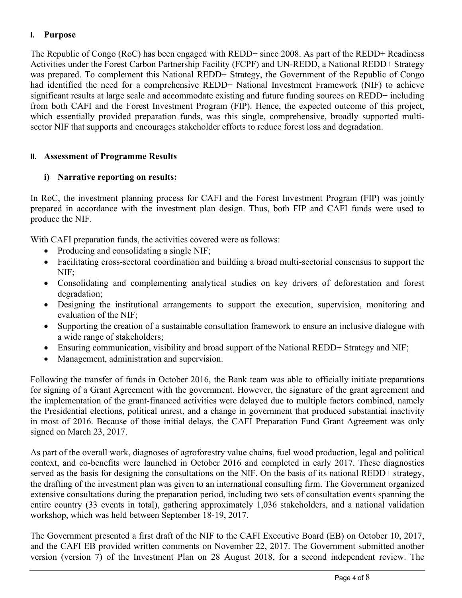## **I. Purpose**

The Republic of Congo (RoC) has been engaged with REDD+ since 2008. As part of the REDD+ Readiness Activities under the Forest Carbon Partnership Facility (FCPF) and UN-REDD, a National REDD+ Strategy was prepared. To complement this National REDD+ Strategy, the Government of the Republic of Congo had identified the need for a comprehensive REDD+ National Investment Framework (NIF) to achieve significant results at large scale and accommodate existing and future funding sources on REDD+ including from both CAFI and the Forest Investment Program (FIP). Hence, the expected outcome of this project, which essentially provided preparation funds, was this single, comprehensive, broadly supported multisector NIF that supports and encourages stakeholder efforts to reduce forest loss and degradation.

### **II. Assessment of Programme Results**

## **i) Narrative reporting on results:**

In RoC, the investment planning process for CAFI and the Forest Investment Program (FIP) was jointly prepared in accordance with the investment plan design. Thus, both FIP and CAFI funds were used to produce the NIF.

With CAFI preparation funds, the activities covered were as follows:

- Producing and consolidating a single NIF;
- Facilitating cross-sectoral coordination and building a broad multi-sectorial consensus to support the NIF;
- Consolidating and complementing analytical studies on key drivers of deforestation and forest degradation;
- Designing the institutional arrangements to support the execution, supervision, monitoring and evaluation of the NIF;
- Supporting the creation of a sustainable consultation framework to ensure an inclusive dialogue with a wide range of stakeholders;
- Ensuring communication, visibility and broad support of the National REDD+ Strategy and NIF;
- Management, administration and supervision.

Following the transfer of funds in October 2016, the Bank team was able to officially initiate preparations for signing of a Grant Agreement with the government. However, the signature of the grant agreement and the implementation of the grant-financed activities were delayed due to multiple factors combined, namely the Presidential elections, political unrest, and a change in government that produced substantial inactivity in most of 2016. Because of those initial delays, the CAFI Preparation Fund Grant Agreement was only signed on March 23, 2017.

As part of the overall work, diagnoses of agroforestry value chains, fuel wood production, legal and political context, and co-benefits were launched in October 2016 and completed in early 2017. These diagnostics served as the basis for designing the consultations on the NIF. On the basis of its national REDD+ strategy, the drafting of the investment plan was given to an international consulting firm. The Government organized extensive consultations during the preparation period, including two sets of consultation events spanning the entire country (33 events in total), gathering approximately 1,036 stakeholders, and a national validation workshop, which was held between September 18-19, 2017.

The Government presented a first draft of the NIF to the CAFI Executive Board (EB) on October 10, 2017, and the CAFI EB provided written comments on November 22, 2017. The Government submitted another version (version 7) of the Investment Plan on 28 August 2018, for a second independent review. The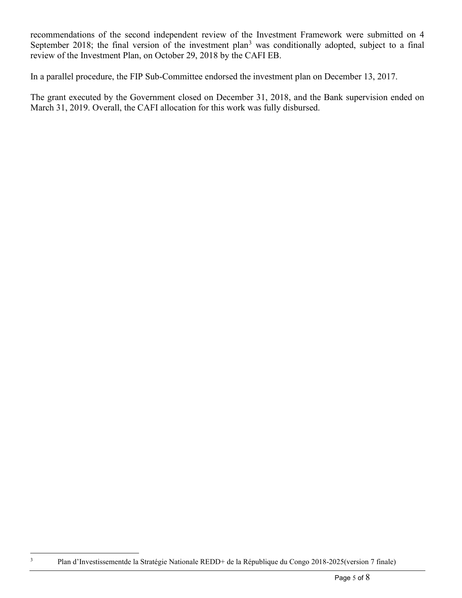recommendations of the second independent review of the Investment Framework were submitted on 4 September 2018; the final version of the investment plan<sup>[3](#page-4-0)</sup> was conditionally adopted, subject to a final review of the Investment Plan, on October 29, 2018 by the CAFI EB.

In a parallel procedure, the FIP Sub-Committee endorsed the investment plan on December 13, 2017.

The grant executed by the Government closed on December 31, 2018, and the Bank supervision ended on March 31, 2019. Overall, the CAFI allocation for this work was fully disbursed.

<span id="page-4-0"></span><sup>3</sup> Plan d'Investissementde la Stratégie Nationale REDD+ de la République du Congo 2018-2025(version 7 finale)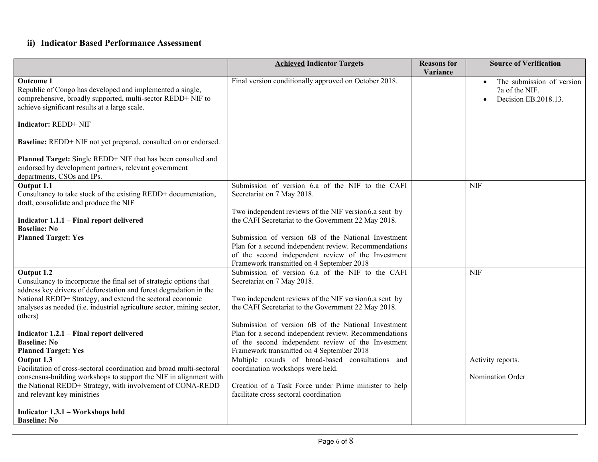# **ii) Indicator Based Performance Assessment**

|                                                                                                                                                                                                                                                      | <b>Achieved Indicator Targets</b>                                                                                                                                                                               | <b>Reasons</b> for<br>Variance | <b>Source of Verification</b>                                       |
|------------------------------------------------------------------------------------------------------------------------------------------------------------------------------------------------------------------------------------------------------|-----------------------------------------------------------------------------------------------------------------------------------------------------------------------------------------------------------------|--------------------------------|---------------------------------------------------------------------|
| <b>Outcome 1</b><br>Republic of Congo has developed and implemented a single,<br>comprehensive, broadly supported, multi-sector REDD+ NIF to<br>achieve significant results at a large scale.                                                        | Final version conditionally approved on October 2018.                                                                                                                                                           |                                | The submission of version<br>7a of the NIF.<br>Decision EB.2018.13. |
| <b>Indicator: REDD+ NIF</b>                                                                                                                                                                                                                          |                                                                                                                                                                                                                 |                                |                                                                     |
| Baseline: REDD+ NIF not yet prepared, consulted on or endorsed.                                                                                                                                                                                      |                                                                                                                                                                                                                 |                                |                                                                     |
| Planned Target: Single REDD+ NIF that has been consulted and<br>endorsed by development partners, relevant government<br>departments, CSOs and IPs.                                                                                                  |                                                                                                                                                                                                                 |                                |                                                                     |
| Output 1.1<br>Consultancy to take stock of the existing REDD+ documentation,<br>draft, consolidate and produce the NIF                                                                                                                               | Submission of version 6.a of the NIF to the CAFI<br>Secretariat on 7 May 2018.<br>Two independent reviews of the NIF version6.a sent by                                                                         |                                | <b>NIF</b>                                                          |
| Indicator 1.1.1 – Final report delivered<br><b>Baseline: No</b>                                                                                                                                                                                      | the CAFI Secretariat to the Government 22 May 2018.                                                                                                                                                             |                                |                                                                     |
| <b>Planned Target: Yes</b>                                                                                                                                                                                                                           | Submission of version 6B of the National Investment<br>Plan for a second independent review. Recommendations<br>of the second independent review of the Investment<br>Framework transmitted on 4 September 2018 |                                |                                                                     |
| Output 1.2<br>Consultancy to incorporate the final set of strategic options that<br>address key drivers of deforestation and forest degradation in the                                                                                               | Submission of version 6.a of the NIF to the CAFI<br>Secretariat on 7 May 2018.                                                                                                                                  |                                | <b>NIF</b>                                                          |
| National REDD+ Strategy, and extend the sectoral economic<br>analyses as needed (i.e. industrial agriculture sector, mining sector,<br>others)                                                                                                       | Two independent reviews of the NIF version6.a sent by<br>the CAFI Secretariat to the Government 22 May 2018.                                                                                                    |                                |                                                                     |
| Indicator 1.2.1 - Final report delivered<br><b>Baseline: No</b><br><b>Planned Target: Yes</b>                                                                                                                                                        | Submission of version 6B of the National Investment<br>Plan for a second independent review. Recommendations<br>of the second independent review of the Investment<br>Framework transmitted on 4 September 2018 |                                |                                                                     |
| Output 1.3<br>Facilitation of cross-sectoral coordination and broad multi-sectoral<br>consensus-building workshops to support the NIF in alignment with<br>the National REDD+ Strategy, with involvement of CONA-REDD<br>and relevant key ministries | Multiple rounds of broad-based consultations and<br>coordination workshops were held.<br>Creation of a Task Force under Prime minister to help<br>facilitate cross sectoral coordination                        |                                | Activity reports.<br>Nomination Order                               |
| Indicator 1.3.1 - Workshops held<br><b>Baseline: No</b>                                                                                                                                                                                              |                                                                                                                                                                                                                 |                                |                                                                     |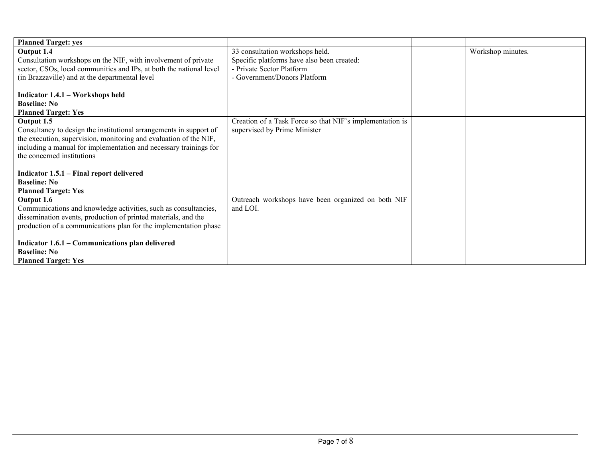| <b>Planned Target: yes</b>                                                                      |                                                          |                   |
|-------------------------------------------------------------------------------------------------|----------------------------------------------------------|-------------------|
| Output 1.4                                                                                      | 33 consultation workshops held.                          | Workshop minutes. |
| Consultation workshops on the NIF, with involvement of private                                  | Specific platforms have also been created:               |                   |
| sector, CSOs, local communities and IPs, at both the national level                             | - Private Sector Platform                                |                   |
| (in Brazzaville) and at the departmental level                                                  | - Government/Donors Platform                             |                   |
|                                                                                                 |                                                          |                   |
| Indicator 1.4.1 – Workshops held                                                                |                                                          |                   |
| <b>Baseline: No</b>                                                                             |                                                          |                   |
| <b>Planned Target: Yes</b>                                                                      |                                                          |                   |
| Output 1.5                                                                                      | Creation of a Task Force so that NIF's implementation is |                   |
| Consultancy to design the institutional arrangements in support of                              | supervised by Prime Minister                             |                   |
| the execution, supervision, monitoring and evaluation of the NIF,                               |                                                          |                   |
| including a manual for implementation and necessary trainings for<br>the concerned institutions |                                                          |                   |
|                                                                                                 |                                                          |                   |
| Indicator 1.5.1 – Final report delivered                                                        |                                                          |                   |
| <b>Baseline: No</b>                                                                             |                                                          |                   |
| <b>Planned Target: Yes</b>                                                                      |                                                          |                   |
| Output 1.6                                                                                      | Outreach workshops have been organized on both NIF       |                   |
| Communications and knowledge activities, such as consultancies,                                 | and LOI.                                                 |                   |
| dissemination events, production of printed materials, and the                                  |                                                          |                   |
| production of a communications plan for the implementation phase                                |                                                          |                   |
|                                                                                                 |                                                          |                   |
| Indicator 1.6.1 - Communications plan delivered                                                 |                                                          |                   |
| <b>Baseline: No</b>                                                                             |                                                          |                   |
| <b>Planned Target: Yes</b>                                                                      |                                                          |                   |